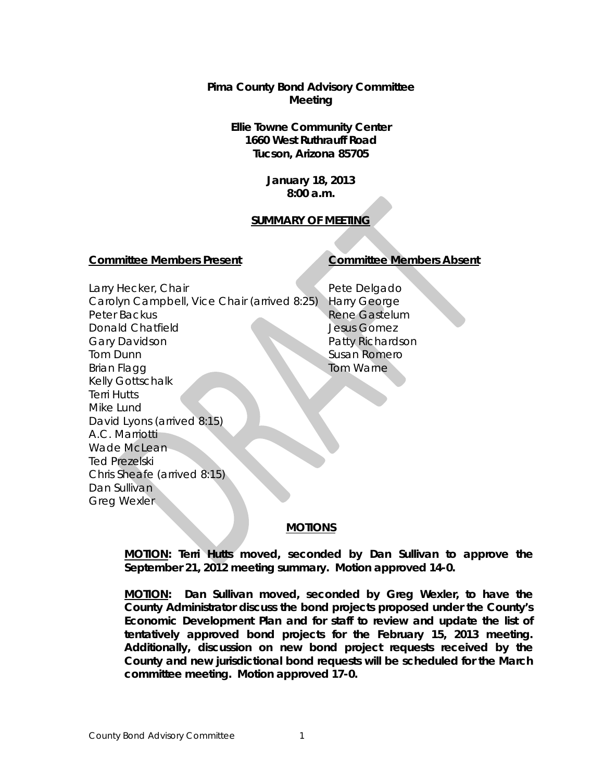**Pima County Bond Advisory Committee Meeting**

# **Ellie Towne Community Center 1660 West Ruthrauff Road Tucson, Arizona 85705**

**January 18, 2013 8:00 a.m.**

# **SUMMARY OF MEETING**

#### **Committee Members Present Committee Members Absent**

Larry Hecker, Chair Carolyn Campbell, Vice Chair (arrived 8:25) Harry George Peter Backus Donald Chatfield Gary Davidson Tom Dunn Brian Flagg Kelly Gottschalk Terri Hutts Mike Lund David Lyons (arrived 8:15) A.C. Marriotti Wade McLean Ted Prezelski Chris Sheafe (arrived 8:15) Dan Sullivan Greg Wexler

Pete Delgado Rene Gastelum Jesus Gomez Patty Richardson Susan Romero Tom Warne

## **MOTIONS**

**MOTION: Terri Hutts moved, seconded by Dan Sullivan to approve the September 21, 2012 meeting summary. Motion approved 14-0.**

**MOTION: Dan Sullivan moved, seconded by Greg Wexler, to have the County Administrator discuss the bond projects proposed under the County's Economic Development Plan and for staff to review and update the list of tentatively approved bond projects for the February 15, 2013 meeting. Additionally, discussion on new bond project requests received by the County and new jurisdictional bond requests will be scheduled for the March committee meeting. Motion approved 17-0.**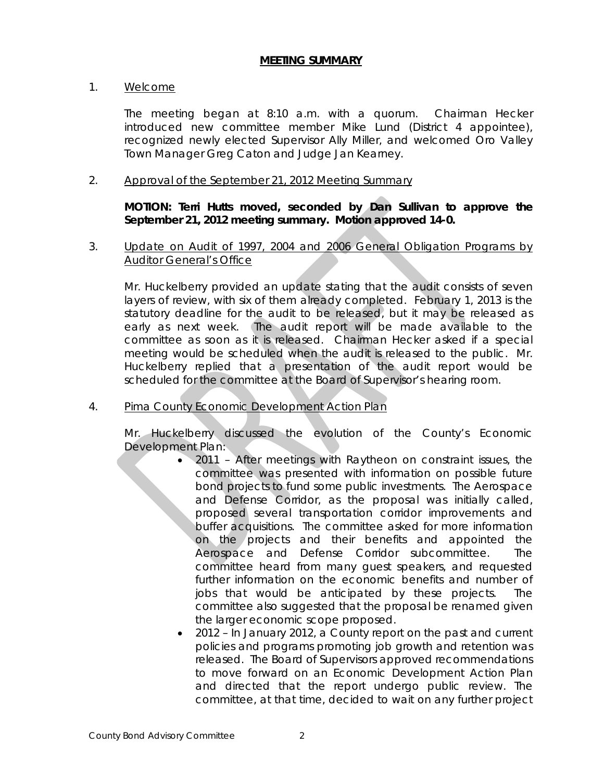## **MEETING SUMMARY**

## 1. Welcome

The meeting began at 8:10 a.m. with a quorum. Chairman Hecker introduced new committee member Mike Lund (District 4 appointee), recognized newly elected Supervisor Ally Miller, and welcomed Oro Valley Town Manager Greg Caton and Judge Jan Kearney.

## 2. Approval of the September 21, 2012 Meeting Summary

**MOTION: Terri Hutts moved, seconded by Dan Sullivan to approve the September 21, 2012 meeting summary. Motion approved 14-0.**

3. Update on Audit of 1997, 2004 and 2006 General Obligation Programs by Auditor General's Office

Mr. Huckelberry provided an update stating that the audit consists of seven layers of review, with six of them already completed. February 1, 2013 is the statutory deadline for the audit to be released, but it may be released as early as next week. The audit report will be made available to the committee as soon as it is released. Chairman Hecker asked if a special meeting would be scheduled when the audit is released to the public. Mr. Huckelberry replied that a presentation of the audit report would be scheduled for the committee at the Board of Supervisor's hearing room.

4. Pima County Economic Development Action Plan

Mr. Huckelberry discussed the evolution of the County's Economic Development Plan:

- 2011 After meetings with Raytheon on constraint issues, the committee was presented with information on possible future bond projects to fund some public investments. The Aerospace and Defense Corridor, as the proposal was initially called, proposed several transportation corridor improvements and buffer acquisitions. The committee asked for more information on the projects and their benefits and appointed the Aerospace and Defense Corridor subcommittee. The committee heard from many guest speakers, and requested further information on the economic benefits and number of jobs that would be anticipated by these projects. The committee also suggested that the proposal be renamed given the larger economic scope proposed.
- 2012 In January 2012, a County report on the past and current policies and programs promoting job growth and retention was released. The Board of Supervisors approved recommendations to move forward on an Economic Development Action Plan and directed that the report undergo public review. The committee, at that time, decided to wait on any further project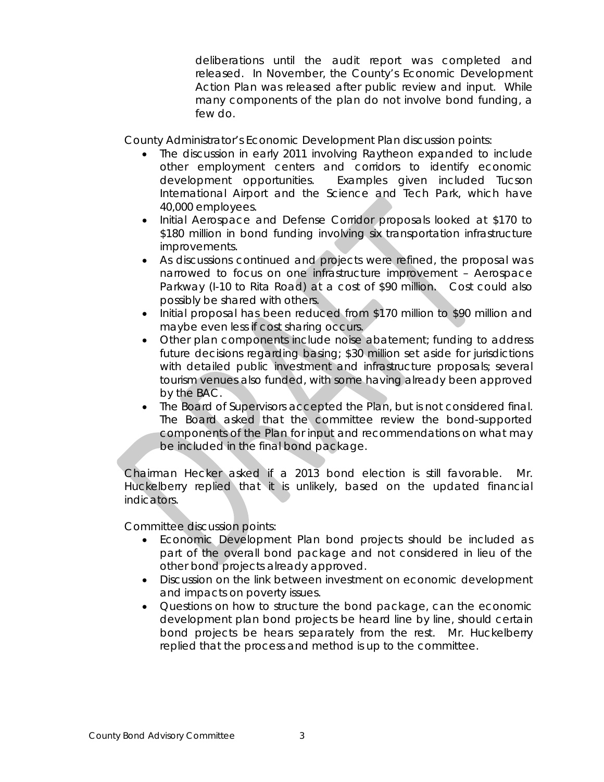deliberations until the audit report was completed and released. In November, the County's Economic Development Action Plan was released after public review and input. While many components of the plan do not involve bond funding, a few do.

County Administrator's Economic Development Plan discussion points:

- The discussion in early 2011 involving Raytheon expanded to include other employment centers and corridors to identify economic development opportunities. Examples given included Tucson International Airport and the Science and Tech Park, which have 40,000 employees.
- Initial Aerospace and Defense Corridor proposals looked at \$170 to \$180 million in bond funding involving six transportation infrastructure improvements.
- As discussions continued and projects were refined, the proposal was narrowed to focus on one infrastructure improvement – Aerospace Parkway (I-10 to Rita Road) at a cost of \$90 million. Cost could also possibly be shared with others.
- Initial proposal has been reduced from \$170 million to \$90 million and maybe even less if cost sharing occurs.
- Other plan components include noise abatement; funding to address future decisions regarding basing; \$30 million set aside for jurisdictions with detailed public investment and infrastructure proposals; several tourism venues also funded, with some having already been approved by the BAC.
- The Board of Supervisors accepted the Plan, but is not considered final. The Board asked that the committee review the bond-supported components of the Plan for input and recommendations on what may be included in the final bond package.

Chairman Hecker asked if a 2013 bond election is still favorable. Mr. Huckelberry replied that it is unlikely, based on the updated financial indicators.

Committee discussion points:

- Economic Development Plan bond projects should be included as part of the overall bond package and not considered in lieu of the other bond projects already approved.
- Discussion on the link between investment on economic development and impacts on poverty issues.
- Questions on how to structure the bond package, can the economic development plan bond projects be heard line by line, should certain bond projects be hears separately from the rest. Mr. Huckelberry replied that the process and method is up to the committee.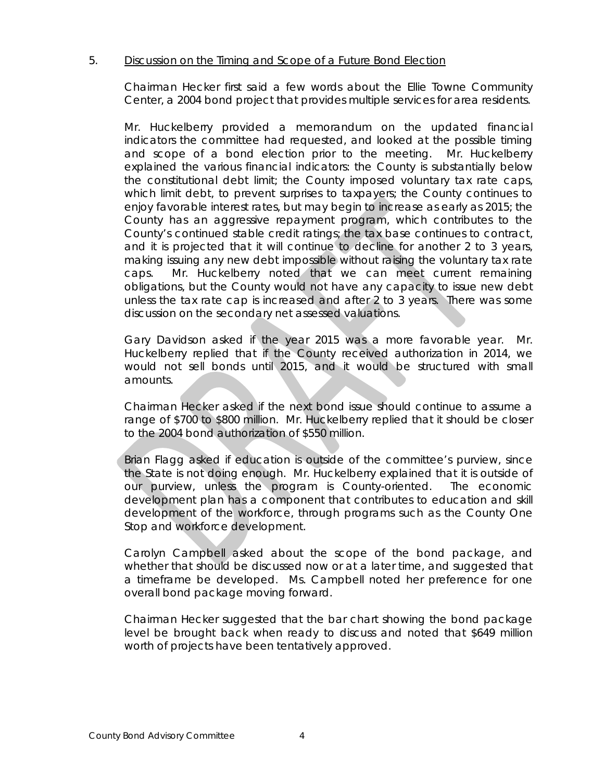# 5. Discussion on the Timing and Scope of a Future Bond Election

Chairman Hecker first said a few words about the Ellie Towne Community Center, a 2004 bond project that provides multiple services for area residents.

Mr. Huckelberry provided a memorandum on the updated financial indicators the committee had requested, and looked at the possible timing and scope of a bond election prior to the meeting. Mr. Huckelberry explained the various financial indicators: the County is substantially below the constitutional debt limit; the County imposed voluntary tax rate caps, which limit debt, to prevent surprises to taxpayers; the County continues to enjoy favorable interest rates, but may begin to increase as early as 2015; the County has an aggressive repayment program, which contributes to the County's continued stable credit ratings; the tax base continues to contract, and it is projected that it will continue to decline for another 2 to 3 years, making issuing any new debt impossible without raising the voluntary tax rate caps. Mr. Huckelberry noted that we can meet current remaining obligations, but the County would not have any capacity to issue new debt unless the tax rate cap is increased and after 2 to 3 years. There was some discussion on the secondary net assessed valuations.

Gary Davidson asked if the year 2015 was a more favorable year. Mr. Huckelberry replied that if the County received authorization in 2014, we would not sell bonds until 2015, and it would be structured with small amounts.

Chairman Hecker asked if the next bond issue should continue to assume a range of \$700 to \$800 million. Mr. Huckelberry replied that it should be closer to the 2004 bond authorization of \$550 million.

Brian Flagg asked if education is outside of the committee's purview, since the State is not doing enough. Mr. Huckelberry explained that it is outside of our purview, unless the program is County-oriented. The economic development plan has a component that contributes to education and skill development of the workforce, through programs such as the County One Stop and workforce development.

Carolyn Campbell asked about the scope of the bond package, and whether that should be discussed now or at a later time, and suggested that a timeframe be developed. Ms. Campbell noted her preference for one overall bond package moving forward.

Chairman Hecker suggested that the bar chart showing the bond package level be brought back when ready to discuss and noted that \$649 million worth of projects have been tentatively approved.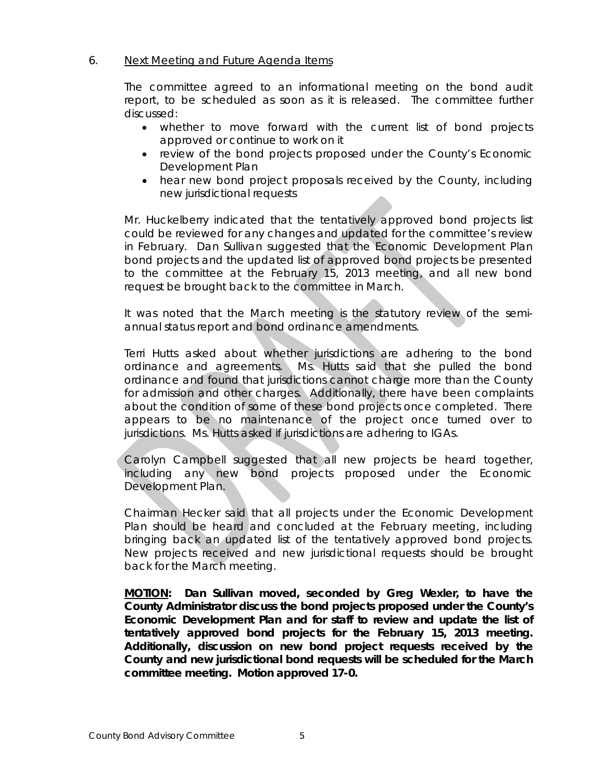# 6. Next Meeting and Future Agenda Items

The committee agreed to an informational meeting on the bond audit report, to be scheduled as soon as it is released. The committee further discussed:

- whether to move forward with the current list of bond projects approved or continue to work on it
- review of the bond projects proposed under the County's Economic Development Plan
- hear new bond project proposals received by the County, including new jurisdictional requests

Mr. Huckelberry indicated that the tentatively approved bond projects list could be reviewed for any changes and updated for the committee's review in February. Dan Sullivan suggested that the Economic Development Plan bond projects and the updated list of approved bond projects be presented to the committee at the February 15, 2013 meeting, and all new bond request be brought back to the committee in March.

It was noted that the March meeting is the statutory review of the semiannual status report and bond ordinance amendments.

Terri Hutts asked about whether jurisdictions are adhering to the bond ordinance and agreements. Ms. Hutts said that she pulled the bond ordinance and found that jurisdictions cannot charge more than the County for admission and other charges. Additionally, there have been complaints about the condition of some of these bond projects once completed. There appears to be no maintenance of the project once turned over to jurisdictions. Ms. Hutts asked if jurisdictions are adhering to IGAs.

Carolyn Campbell suggested that all new projects be heard together, including any new bond projects proposed under the Economic Development Plan.

Chairman Hecker said that all projects under the Economic Development Plan should be heard and concluded at the February meeting, including bringing back an updated list of the tentatively approved bond projects. New projects received and new jurisdictional requests should be brought back for the March meeting.

**MOTION: Dan Sullivan moved, seconded by Greg Wexler, to have the County Administrator discuss the bond projects proposed under the County's Economic Development Plan and for staff to review and update the list of tentatively approved bond projects for the February 15, 2013 meeting. Additionally, discussion on new bond project requests received by the County and new jurisdictional bond requests will be scheduled for the March committee meeting. Motion approved 17-0.**